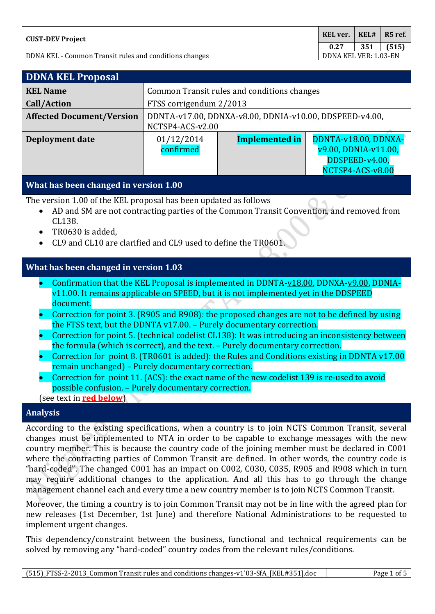| KEL ver.<br><b>CUST-DEV Project</b>                    |                       | $\overline{KELH}$ | R5 ref. |
|--------------------------------------------------------|-----------------------|-------------------|---------|
|                                                        |                       | 351               | (515)   |
| DDNA KEL - Common Transit rules and conditions changes | DDNA KEL VER: 1.03-EN |                   |         |

| <b>DDNA KEL Proposal</b>                                                                                                                                                                                                                                                                                                                                                                                                                                                                                                                                                                                                                                                                                                                                                                                                                                                                                                                      |                                             |                                                                             |                                                                                    |  |  |
|-----------------------------------------------------------------------------------------------------------------------------------------------------------------------------------------------------------------------------------------------------------------------------------------------------------------------------------------------------------------------------------------------------------------------------------------------------------------------------------------------------------------------------------------------------------------------------------------------------------------------------------------------------------------------------------------------------------------------------------------------------------------------------------------------------------------------------------------------------------------------------------------------------------------------------------------------|---------------------------------------------|-----------------------------------------------------------------------------|------------------------------------------------------------------------------------|--|--|
| <b>KEL Name</b>                                                                                                                                                                                                                                                                                                                                                                                                                                                                                                                                                                                                                                                                                                                                                                                                                                                                                                                               | Common Transit rules and conditions changes |                                                                             |                                                                                    |  |  |
| <b>Call/Action</b>                                                                                                                                                                                                                                                                                                                                                                                                                                                                                                                                                                                                                                                                                                                                                                                                                                                                                                                            | FTSS corrigendum 2/2013                     |                                                                             |                                                                                    |  |  |
| <b>Affected Document/Version</b>                                                                                                                                                                                                                                                                                                                                                                                                                                                                                                                                                                                                                                                                                                                                                                                                                                                                                                              |                                             | DDNTA-v17.00, DDNXA-v8.00, DDNIA-v10.00, DDSPEED-v4.00,<br>NCTSP4-ACS-v2.00 |                                                                                    |  |  |
| Deployment date                                                                                                                                                                                                                                                                                                                                                                                                                                                                                                                                                                                                                                                                                                                                                                                                                                                                                                                               | 01/12/2014<br>confirmed                     | Implemented in                                                              | DDNTA-v18.00, DDNXA-<br>v9.00, DDNIA-v11.00,<br>DDSPEED-v4.00,<br>NCTSP4-ACS-v8.00 |  |  |
| What has been changed in version 1.00                                                                                                                                                                                                                                                                                                                                                                                                                                                                                                                                                                                                                                                                                                                                                                                                                                                                                                         |                                             |                                                                             |                                                                                    |  |  |
| The version 1.00 of the KEL proposal has been updated as follows<br>AD and SM are not contracting parties of the Common Transit Convention, and removed from<br>CL138.<br>TR0630 is added.<br>CL9 and CL10 are clarified and CL9 used to define the TR0601.                                                                                                                                                                                                                                                                                                                                                                                                                                                                                                                                                                                                                                                                                   |                                             |                                                                             |                                                                                    |  |  |
| What has been changed in version 1.03                                                                                                                                                                                                                                                                                                                                                                                                                                                                                                                                                                                                                                                                                                                                                                                                                                                                                                         |                                             |                                                                             |                                                                                    |  |  |
| Confirmation that the KEL Proposal is implemented in DDNTA- $v18.00$ , DDNXA- $v9.00$ , DDNIA-<br>$\bullet$<br>$v11.00$ . It remains applicable on SPEED, but it is not implemented yet in the DDSPEED<br>document.<br>Correction for point 3. (R905 and R908): the proposed changes are not to be defined by using<br>the FTSS text, but the DDNTA v17.00. - Purely documentary correction.<br>Correction for point 5. (technical codelist CL138): It was introducing an inconsistency between<br>the formula (which is correct), and the text. - Purely documentary correction.<br>Correction for point 8. (TR0601 is added): the Rules and Conditions existing in DDNTA v17.00<br>$\bullet$<br>remain unchanged) - Purely documentary correction.<br>Correction for point 11. (ACS): the exact name of the new codelist 139 is re-used to avoid<br>possible confusion. - Purely documentary correction.<br>(see text in <b>red below</b> ) |                                             |                                                                             |                                                                                    |  |  |
| <b>Analysis</b>                                                                                                                                                                                                                                                                                                                                                                                                                                                                                                                                                                                                                                                                                                                                                                                                                                                                                                                               |                                             |                                                                             |                                                                                    |  |  |

According to the existing specifications, when a country is to join NCTS Common Transit, several changes must be implemented to NTA in order to be capable to exchange messages with the new country member. This is because the country code of the joining member must be declared in C001 where the contracting parties of Common Transit are defined. In other words, the country code is "hard-coded". The changed C001 has an impact on C002, C030, C035, R905 and R908 which in turn may require additional changes to the application. And all this has to go through the change management channel each and every time a new country member is to join NCTS Common Transit.

Moreover, the timing a country is to join Common Transit may not be in line with the agreed plan for new releases (1st December, 1st June) and therefore National Administrations to be requested to implement urgent changes.

This dependency/constraint between the business, functional and technical requirements can be solved by removing any "hard-coded" country codes from the relevant rules/conditions.

(515)\_FTSS-2-2013\_Common Transit rules and conditions changes-v1'03-SfA\_[KEL#351].doc Page 1 of 5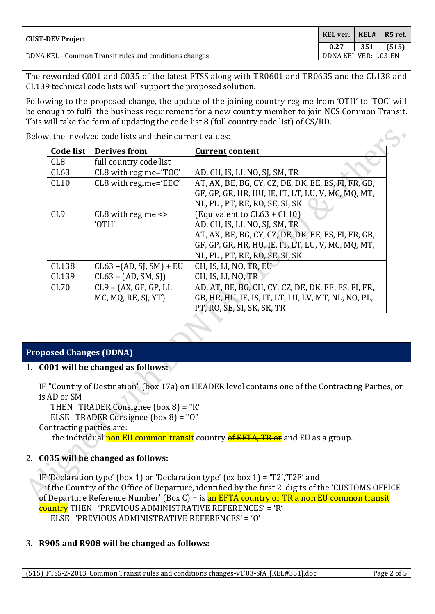| KEL ver.<br><b>CUST-DEV Project</b>                    |                       | KELH | R <sub>5</sub> ref. |
|--------------------------------------------------------|-----------------------|------|---------------------|
|                                                        |                       | 351  | (515)               |
| DDNA KEL - Common Transit rules and conditions changes | DDNA KEL VER: 1.03-EN |      |                     |

The reworded C001 and C035 of the latest FTSS along with TR0601 and TR0635 and the CL138 and CL139 technical code lists will support the proposed solution.

Following to the proposed change, the update of the joining country regime from 'OTH' to 'TOC' will be enough to fulfil the business requirement for a new country member to join NCS Common Transit. This will take the form of updating the code list 8 (full country code list) of CS/RD.

Below, the involved code lists and their current values:

| Code list       | <b>Derives from</b>        | <b>Current content</b>                              |
|-----------------|----------------------------|-----------------------------------------------------|
| CL <sub>8</sub> | full country code list     |                                                     |
| CL63            | CL8 with regime='TOC'      | AD, CH, IS, LI, NO, SJ, SM, TR                      |
| CL10            | CL8 with regime='EEC'      | AT, AX, BE, BG, CY, CZ, DE, DK, EE, ES, FI, FR, GB, |
|                 |                            | GF, GP, GR, HR, HU, IE, IT, LT, LU, V, MC, MQ, MT,  |
|                 |                            | NL, PL, PT, RE, RO, SE, SI, SK                      |
| CL9             | $CL8$ with regime $\leq$   | (Equivalent to CL63 + CL10)                         |
|                 | 'OTH'                      | AD, CH, IS, LI, NO, SJ, SM, TR                      |
|                 |                            | AT, AX, BE, BG, CY, CZ, DE, DK, EE, ES, FI, FR, GB, |
|                 |                            | GF, GP, GR, HR, HU, IE, IT, LT, LU, V, MC, MQ, MT,  |
|                 |                            | NL, PL, PT, RE, RO, SE, SI, SK                      |
| CL138           | $CL63 - (AD, SI, SM) + EU$ | CH, IS, LI, NO, TR, EU                              |
| CL139           | $CL63 - (AD, SM, SI)$      | CH, IS, LI, NO, TR                                  |
| CL70            | CL9 - (AX, GF, GP, LI,     | AD, AT, BE, BG, CH, CY, CZ, DE, DK, EE, ES, FI, FR, |
|                 | MC, MQ, RE, SJ, YT)        | GB, HR, HU, IE, IS, IT, LT, LU, LV, MT, NL, NO, PL, |
|                 |                            | PT, RO, SE, SI, SK, SK, TR                          |

## **Proposed Changes (DDNA)**

### 1. **C001 will be changed as follows:**

IF "Country of Destination" (box 17a) on HEADER level contains one of the Contracting Parties, or is AD or SM

THEN TRADER Consignee (box 8) = "R"

ELSE TRADER Consignee (box 8) = "O"

Contracting parties are:

the individual non EU common transit country of EFTA, TR or and EU as a group.

# 2. **C035 will be changed as follows:**

IF 'Declaration type' (box 1) or 'Declaration type' (ex box 1) = 'T2','T2F' and if the Country of the Office of Departure, identified by the first 2 digits of the 'CUSTOMS OFFICE of Departure Reference Number' (Box C) = is **an EFTA country or TR a non EU common transit** country THEN 'PREVIOUS ADMINISTRATIVE REFERENCES' = 'R' ELSE 'PREVIOUS ADMINISTRATIVE REFERENCES' = 'O'

# 3. **R905 and R908 will be changed as follows:**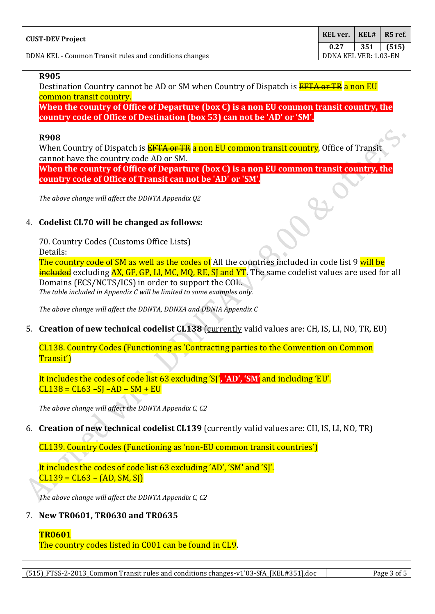| KEL ver.<br><b>CUST-DEV Project</b>                    |                       | KEL# | $\blacksquare$ R5 ref. |
|--------------------------------------------------------|-----------------------|------|------------------------|
|                                                        |                       | 351  | (515)                  |
| DDNA KEL - Common Transit rules and conditions changes | DDNA KEL VER: 1.03-EN |      |                        |

#### **R905**

Destination Country cannot be AD or SM when Country of Dispatch is **EFTA or TR a non EU** common transit country.

**When the country of Office of Departure (box C) is a non EU common transit country, the country code of Office of Destination (box 53) can not be 'AD' or 'SM'.**

#### **R908**

When Country of Dispatch is **EFTA or TR** a non EU common transit country. Office of Transit cannot have the country code AD or SM. **When the country of Office of Departure (box C) is a non EU common transit country, the** 

*The above change will affect the DDNTA Appendix Q2*

### 4. **Codelist CL70 will be changed as follows:**

70. Country Codes (Customs Office Lists) Details:

The country code of SM as well as the codes of All the countries included in code list 9 will be included excluding AX, GF, GP, LI, MC, MO, RE, SI and YT. The same codelist values are used for all Domains (ECS/NCTS/ICS) in order to support the COL. *The table included in Appendix C will be limited to some examples only.*

*The above change will affect the DDNTA, DDNXA and DDNIA Appendix C*

**country code of Office of Transit can not be 'AD' or 'SM'.**

5. **Creation of new technical codelist CL138** (currently valid values are: CH, IS, LI, NO, TR, EU)

CL138. Country Codes (Functioning as 'Contracting parties to the Convention on Common Transit')

It includes the codes of code list 63 excluding 'SJ'**, 'AD', 'SM'** and including 'EU'.  $CL138 = CL63 - SI - AD - SM + EU$ 

*The above change will affect the DDNTA Appendix C, C2*

6. **Creation of new technical codelist CL139** (currently valid values are: CH, IS, LI, NO, TR)

CL139. Country Codes (Functioning as 'non-EU common transit countries')

It includes the codes of code list 63 excluding 'AD', 'SM' and 'SJ'.  $CL139 = CL63 - (AD, SM, SI)$ 

*The above change will affect the DDNTA Appendix C, C2*

### 7. **New TR0601, TR0630 and TR0635**

### **TR0601**

The country codes listed in C001 can be found in CL9.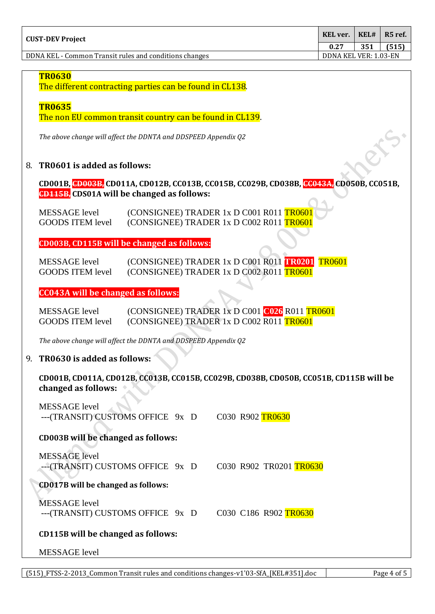| KEL ver.<br>  CUST-DEV Project                         |                       | KELH | $\blacksquare$ R5 ref. |
|--------------------------------------------------------|-----------------------|------|------------------------|
|                                                        |                       | 351  | (515)                  |
| DDNA KEL - Common Transit rules and conditions changes | DDNA KEL VER: 1.03-EN |      |                        |

#### **TR0630**

The different contracting parties can be found in CL138.

#### **TR0635**

The non EU common transit country can be found in CL139.

*The above change will affect the DDNTA and DDSPEED Appendix Q2*

#### 8. **TR0601 is added as follows:**

**CD001B, CD003B, CD011A, CD012B, CC013B, CC015B, CC029B, CD038B, CC043A, CD050B, CC051B, CD115B, CDS01A will be changed as follows:**

MESSAGE level (CONSIGNEE) TRADER 1x D C001 R011 TR0601 GOODS ITEM level (CONSIGNEE) TRADER 1x D C002 R011 TR0601

**CD003B, CD115B will be changed as follows:**

MESSAGE level (CONSIGNEE) TRADER 1x D C001 R011 **TR0201** TR0601 GOODS ITEM level (CONSIGNEE) TRADER 1x D C002 R011 TR0601

#### **CC043A will be changed as follows:**

| MESSAGE level           | $(CONSIGNEE)$ TRADER 1x D $C001$ $C026$ R011 TR0601 |  |  |
|-------------------------|-----------------------------------------------------|--|--|
| <b>GOODS ITEM level</b> | $(CONSIGNEE)$ TRADER 1x D $C002$ R011 TR0601        |  |  |

*The above change will affect the DDNTA and DDSPEED Appendix Q2*

### 9. **TR0630 is added as follows:**

**CD001B, CD011A, CD012B, CC013B, CC015B, CC029B, CD038B, CD050B, CC051B, CD115B will be changed as follows:**

| <b>MESSAGE</b> level<br>---(TRANSIT) CUSTOMS OFFICE 9x D  | C030 R902 TR0630        |
|-----------------------------------------------------------|-------------------------|
| CD003B will be changed as follows:                        |                         |
| <b>MESSAGE</b> level<br>--- (TRANSIT) CUSTOMS OFFICE 9x D | C030 R902 TR0201 TR0630 |
| <b>CD017B</b> will be changed as follows:                 |                         |
| MESSAGE level<br>---(TRANSIT) CUSTOMS OFFICE 9x D         | C030 C186 R902 TR0630   |
| <b>CD115B</b> will be changed as follows:                 |                         |
|                                                           |                         |

#### MESSAGE level